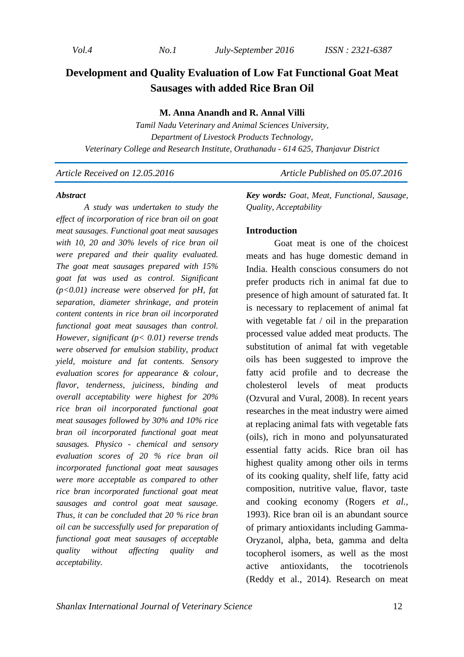*Vol.4 No.1 July-September 2016 ISSN : 2321-6387* 

# **Development and Quality Evaluation of Low Fat Functional Goat Meat Sausages with added Rice Bran Oil**

#### **M. Anna Anandh and R. Annal Villi**

*Tamil Nadu Veterinary and Animal Sciences University, Department of Livestock Products Technology, Veterinary College and Research Institute, Orathanadu - 614 625, Thanjavur District* 

*Article Received on 12.05.2016* Article Published on 05.07.2016

#### *Abstract*

*A study was undertaken to study the effect of incorporation of rice bran oil on goat meat sausages. Functional goat meat sausages with 10, 20 and 30% levels of rice bran oil were prepared and their quality evaluated. The goat meat sausages prepared with 15% goat fat was used as control. Significant (p<0.01) increase were observed for pH, fat separation, diameter shrinkage, and protein content contents in rice bran oil incorporated functional goat meat sausages than control. However, significant (p< 0.01) reverse trends were observed for emulsion stability, product yield, moisture and fat contents. Sensory evaluation scores for appearance & colour, flavor, tenderness, juiciness, binding and overall acceptability were highest for 20% rice bran oil incorporated functional goat meat sausages followed by 30% and 10% rice bran oil incorporated functional goat meat sausages. Physico - chemical and sensory evaluation scores of 20 % rice bran oil incorporated functional goat meat sausages were more acceptable as compared to other rice bran incorporated functional goat meat sausages and control goat meat sausage. Thus, it can be concluded that 20 % rice bran oil can be successfully used for preparation of functional goat meat sausages of acceptable quality without affecting quality and acceptability.* 

*Key words: Goat, Meat, Functional, Sausage, Quality, Acceptability* 

#### **Introduction**

Goat meat is one of the choicest meats and has huge domestic demand in India. Health conscious consumers do not prefer products rich in animal fat due to presence of high amount of saturated fat. It is necessary to replacement of animal fat with vegetable fat / oil in the preparation processed value added meat products. The substitution of animal fat with vegetable oils has been suggested to improve the fatty acid profile and to decrease the cholesterol levels of meat products (Ozvural and Vural, 2008). In recent years researches in the meat industry were aimed at replacing animal fats with vegetable fats (oils), rich in mono and polyunsaturated essential fatty acids. Rice bran oil has highest quality among other oils in terms of its cooking quality, shelf life, fatty acid composition, nutritive value, flavor, taste and cooking economy (Rogers *et al.,*  1993). Rice bran oil is an abundant source of primary antioxidants including Gamma-Oryzanol, alpha, beta, gamma and delta tocopherol isomers, as well as the most active antioxidants, the tocotrienols (Reddy et al., 2014). Research on meat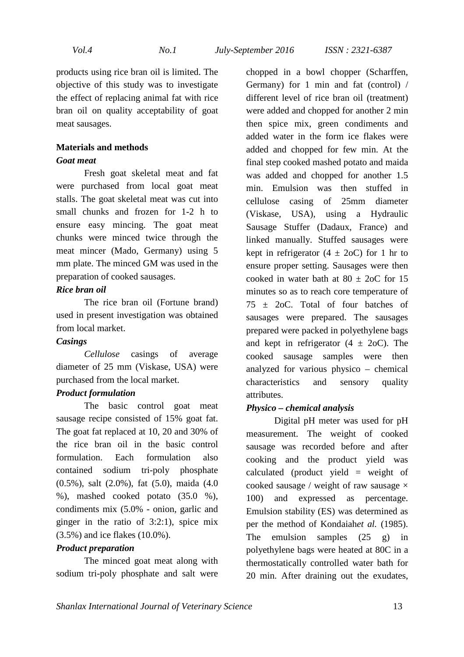products using rice bran oil is limited. The objective of this study was to investigate the effect of replacing animal fat with rice bran oil on quality acceptability of goat meat sausages.

# **Materials and methods**

### *Goat meat*

Fresh goat skeletal meat and fat were purchased from local goat meat stalls. The goat skeletal meat was cut into small chunks and frozen for 1-2 h to ensure easy mincing. The goat meat chunks were minced twice through the meat mincer (Mado, Germany) using 5 mm plate. The minced GM was used in the preparation of cooked sausages.

### *Rice bran oil*

The rice bran oil (Fortune brand) used in present investigation was obtained from local market.

#### *Casings*

*Cellulose* casings of average diameter of 25 mm (Viskase, USA) were purchased from the local market.

#### *Product formulation*

The basic control goat meat sausage recipe consisted of 15% goat fat. The goat fat replaced at 10, 20 and 30% of the rice bran oil in the basic control formulation. Each formulation also contained sodium tri-poly phosphate (0.5%), salt (2.0%), fat (5.0), maida (4.0 %), mashed cooked potato (35.0 %), condiments mix (5.0% - onion, garlic and ginger in the ratio of 3:2:1), spice mix (3.5%) and ice flakes (10.0%).

#### *Product preparation*

The minced goat meat along with sodium tri-poly phosphate and salt were chopped in a bowl chopper (Scharffen, Germany) for 1 min and fat (control) / different level of rice bran oil (treatment) were added and chopped for another 2 min then spice mix, green condiments and added water in the form ice flakes were added and chopped for few min. At the final step cooked mashed potato and maida was added and chopped for another 1.5 min. Emulsion was then stuffed in cellulose casing of 25mm diameter (Viskase, USA), using a Hydraulic Sausage Stuffer (Dadaux, France) and linked manually. Stuffed sausages were kept in refrigerator  $(4 \pm 2$ oC) for 1 hr to ensure proper setting. Sausages were then cooked in water bath at  $80 + 20C$  for 15 minutes so as to reach core temperature of  $75 \pm 20$ C. Total of four batches of sausages were prepared. The sausages prepared were packed in polyethylene bags and kept in refrigerator  $(4 \pm 20)$ . The cooked sausage samples were then analyzed for various physico – chemical characteristics and sensory quality attributes.

#### *Physico – chemical analysis*

Digital pH meter was used for pH measurement. The weight of cooked sausage was recorded before and after cooking and the product yield was calculated (product yield = weight of cooked sausage / weight of raw sausage  $\times$ 100) and expressed as percentage. Emulsion stability (ES) was determined as per the method of Kondaiah*et al.* (1985). The emulsion samples (25 g) in polyethylene bags were heated at 80C in a thermostatically controlled water bath for 20 min. After draining out the exudates,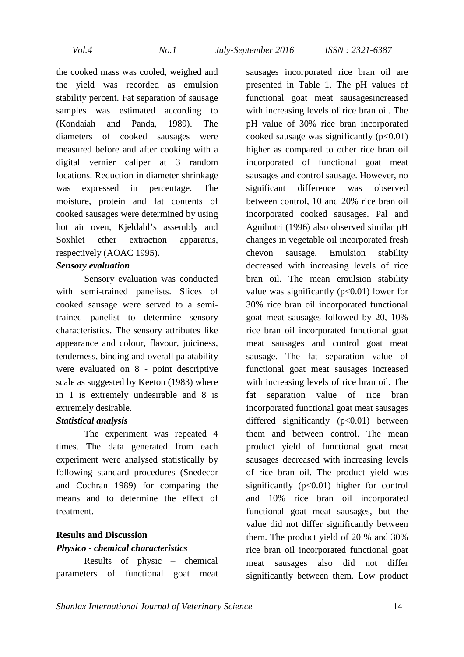*Vol.4 No.1 July-September 2016 ISSN : 2321-6387* 

the cooked mass was cooled, weighed and the yield was recorded as emulsion stability percent. Fat separation of sausage samples was estimated according to (Kondaiah and Panda, 1989). The diameters of cooked sausages were measured before and after cooking with a digital vernier caliper at 3 random locations. Reduction in diameter shrinkage was expressed in percentage. The moisture, protein and fat contents of cooked sausages were determined by using hot air oven, Kjeldahl's assembly and Soxhlet ether extraction apparatus, respectively (AOAC 1995).

#### *Sensory evaluation*

Sensory evaluation was conducted with semi-trained panelists. Slices of cooked sausage were served to a semitrained panelist to determine sensory characteristics. The sensory attributes like appearance and colour, flavour, juiciness, tenderness, binding and overall palatability were evaluated on 8 - point descriptive scale as suggested by Keeton (1983) where in 1 is extremely undesirable and 8 is extremely desirable.

#### *Statistical analysis*

The experiment was repeated 4 times. The data generated from each experiment were analysed statistically by following standard procedures (Snedecor and Cochran 1989) for comparing the means and to determine the effect of treatment.

# **Results and Discussion**

#### *Physico - chemical characteristics*

Results of physic – chemical parameters of functional goat meat

sausages incorporated rice bran oil are presented in Table 1. The pH values of functional goat meat sausagesincreased with increasing levels of rice bran oil. The pH value of 30% rice bran incorporated cooked sausage was significantly  $(p<0.01)$ higher as compared to other rice bran oil incorporated of functional goat meat sausages and control sausage. However, no significant difference was observed between control, 10 and 20% rice bran oil incorporated cooked sausages. Pal and Agnihotri (1996) also observed similar pH changes in vegetable oil incorporated fresh chevon sausage. Emulsion stability decreased with increasing levels of rice bran oil. The mean emulsion stability value was significantly  $(p<0.01)$  lower for 30% rice bran oil incorporated functional goat meat sausages followed by 20, 10% rice bran oil incorporated functional goat meat sausages and control goat meat sausage. The fat separation value of functional goat meat sausages increased with increasing levels of rice bran oil. The fat separation value of rice bran incorporated functional goat meat sausages differed significantly  $(p<0.01)$  between them and between control. The mean product yield of functional goat meat sausages decreased with increasing levels of rice bran oil. The product yield was significantly  $(p<0.01)$  higher for control and 10% rice bran oil incorporated functional goat meat sausages, but the value did not differ significantly between them. The product yield of 20 % and 30% rice bran oil incorporated functional goat meat sausages also did not differ significantly between them. Low product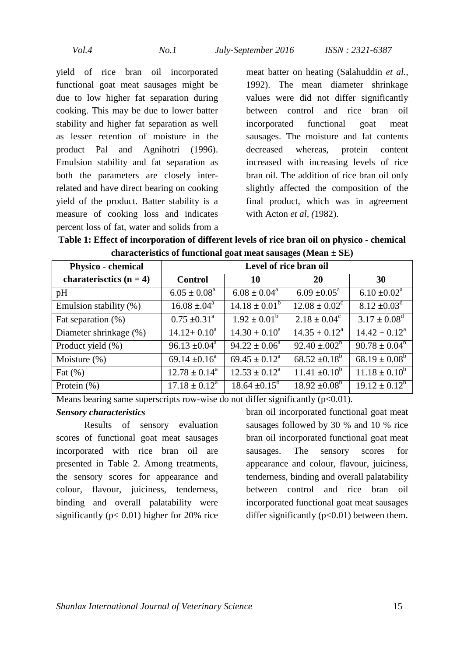yield of rice bran oil incorporated functional goat meat sausages might be due to low higher fat separation during cooking. This may be due to lower batter stability and higher fat separation as well as lesser retention of moisture in the product Pal and Agnihotri (1996). Emulsion stability and fat separation as both the parameters are closely interrelated and have direct bearing on cooking yield of the product. Batter stability is a measure of cooking loss and indicates percent loss of fat, water and solids from a meat batter on heating (Salahuddin *et al.,*  1992). The mean diameter shrinkage values were did not differ significantly between control and rice bran oil incorporated functional goat meat sausages. The moisture and fat contents decreased whereas, protein content increased with increasing levels of rice bran oil. The addition of rice bran oil only slightly affected the composition of the final product, which was in agreement with Acton *et al, (*1982).

**Table 1: Effect of incorporation of different levels of rice bran oil on physico - chemical characteristics of functional goat meat sausages (Mean ± SE)** 

| <b>Physico - chemical</b> | Level of rice bran oil      |                            |                            |                               |  |
|---------------------------|-----------------------------|----------------------------|----------------------------|-------------------------------|--|
| charaterisctics $(n = 4)$ | <b>Control</b>              | <b>10</b>                  | <b>20</b>                  | 30                            |  |
| pH                        | $6.05 \pm 0.08^a$           | $6.08 \pm 0.04^{\text{a}}$ | $6.09 \pm 0.05^{\text{a}}$ | $6.10 \pm 0.02^{\text{a}}$    |  |
| Emulsion stability (%)    | $16.08 \pm .04^a$           | $14.18 \pm 0.01^b$         | $12.08 \pm 0.02^c$         | $8.12 \pm 0.03$ <sup>d</sup>  |  |
| Fat separation $(\%)$     | $0.75 \pm 0.31^{\text{a}}$  | $1.92 \pm 0.01^b$          | $2.18 \pm 0.04^c$          | $3.17 \pm 0.08^d$             |  |
| Diameter shrinkage (%)    | $14.12 + 0.10^a$            | $14.30 + 0.10^a$           | $14.35 + 0.12^a$           | $14.42 + 0.12^a$              |  |
| Product yield (%)         | $96.13 \pm 0.04^{\text{a}}$ | $94.22 \pm 0.06^a$         | $92.40 \pm .002^b$         | $90.78 \pm 0.04^b$            |  |
| Moisture $(\%)$           | 69.14 $\pm 0.16^a$          | $69.45 \pm 0.12^a$         | $68.52 \pm 0.18^b$         | $\overline{68.19} \pm 0.08^b$ |  |
| Fat $(\%)$                | $12.78 \pm 0.14^a$          | $12.53 \pm 0.12^a$         | $11.41 \pm 0.10^b$         | $11.18 \pm 0.10^b$            |  |
| Protein (%)               | $17.18 \pm 0.12^a$          | $18.64 \pm 0.15^b$         | $18.92 \pm 0.08^{\rm b}$   | $19.12 \pm 0.12^b$            |  |

Means bearing same superscripts row-wise do not differ significantly  $(p<0.01)$ .

#### *Sensory characteristics*

Results of sensory evaluation scores of functional goat meat sausages incorporated with rice bran oil are presented in Table 2. Among treatments, the sensory scores for appearance and colour, flavour, juiciness, tenderness, binding and overall palatability were significantly ( $p < 0.01$ ) higher for 20% rice bran oil incorporated functional goat meat sausages followed by 30 % and 10 % rice bran oil incorporated functional goat meat sausages. The sensory scores for appearance and colour, flavour, juiciness, tenderness, binding and overall palatability between control and rice bran oil incorporated functional goat meat sausages differ significantly  $(p<0.01)$  between them.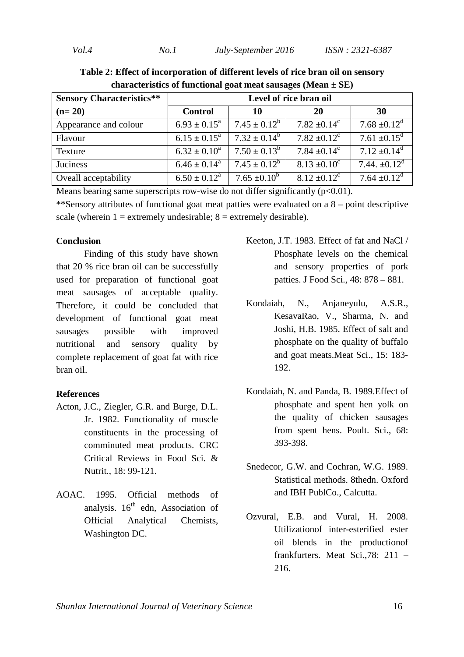| <b>Sensory Characteristics**</b> | Level of rice bran oil       |                   |                              |                              |  |  |
|----------------------------------|------------------------------|-------------------|------------------------------|------------------------------|--|--|
| $(n=20)$                         | <b>Control</b>               | 10                | 20                           | 30                           |  |  |
| Appearance and colour            | $6.93 \pm 0.15^{\text{a}}$   | $7.45 \pm 0.12^b$ | $7.82 \pm 0.14^c$            | $7.68 \pm 0.12^d$            |  |  |
| Flavour                          | $6.15 \pm 0.15^a$            | $7.32 \pm 0.14^b$ | $7.82 \pm 0.12$ <sup>c</sup> | $7.61 \pm 0.15$ <sup>d</sup> |  |  |
| Texture                          | $6.32 \pm 0.10^a$            | $7.50 \pm 0.13^b$ | 7.84 $\pm 0.14^{\circ}$      | $7.12 \pm 0.14^d$            |  |  |
| Juciness                         | $6.46 \pm 0.14$ <sup>a</sup> | $7.45 \pm 0.12^b$ | $8.13 \pm 0.10^c$            | $7.44 \pm 0.12$ <sup>d</sup> |  |  |
| Oveall acceptability             | $6.50 \pm 0.12^a$            | $7.65 \pm 0.10^b$ | $8.12 \pm 0.12$ <sup>c</sup> | $7.64 \pm 0.12^{\text{d}}$   |  |  |

**Table 2: Effect of incorporation of different levels of rice bran oil on sensory characteristics of functional goat meat sausages (Mean ± SE)** 

Means bearing same superscripts row-wise do not differ significantly  $(p<0.01)$ .

\*\*Sensory attributes of functional goat meat patties were evaluated on a 8 – point descriptive scale (wherein  $1 =$  extremely undesirable;  $8 =$  extremely desirable).

### **Conclusion**

Finding of this study have shown that 20 % rice bran oil can be successfully used for preparation of functional goat meat sausages of acceptable quality. Therefore, it could be concluded that development of functional goat meat sausages possible with improved nutritional and sensory quality by complete replacement of goat fat with rice bran oil.

## **References**

- Acton, J.C., Ziegler, G.R. and Burge, D.L. Jr. 1982. Functionality of muscle constituents in the processing of comminuted meat products. CRC Critical Reviews in Food Sci. & Nutrit., 18: 99-121.
- AOAC. 1995. Official methods of analysis.  $16<sup>th</sup>$  edn, Association of Official Analytical Chemists, Washington DC.
- Keeton, J.T. 1983. Effect of fat and NaCl / Phosphate levels on the chemical and sensory properties of pork patties. J Food Sci., 48: 878 – 881.
- Kondaiah, N., Anjaneyulu, A.S.R., KesavaRao, V., Sharma, N. and Joshi, H.B. 1985. Effect of salt and phosphate on the quality of buffalo and goat meats.Meat Sci., 15: 183- 192.
- Kondaiah, N. and Panda, B. 1989.Effect of phosphate and spent hen yolk on the quality of chicken sausages from spent hens. Poult. Sci., 68: 393-398.
- Snedecor, G.W. and Cochran, W.G. 1989. Statistical methods. 8thedn. Oxford and IBH PublCo., Calcutta.
- Ozvural, E.B. and Vural, H. 2008. Utilizationof inter-esterified ester oil blends in the productionof frankfurters. Meat Sci.,78: 211 – 216.